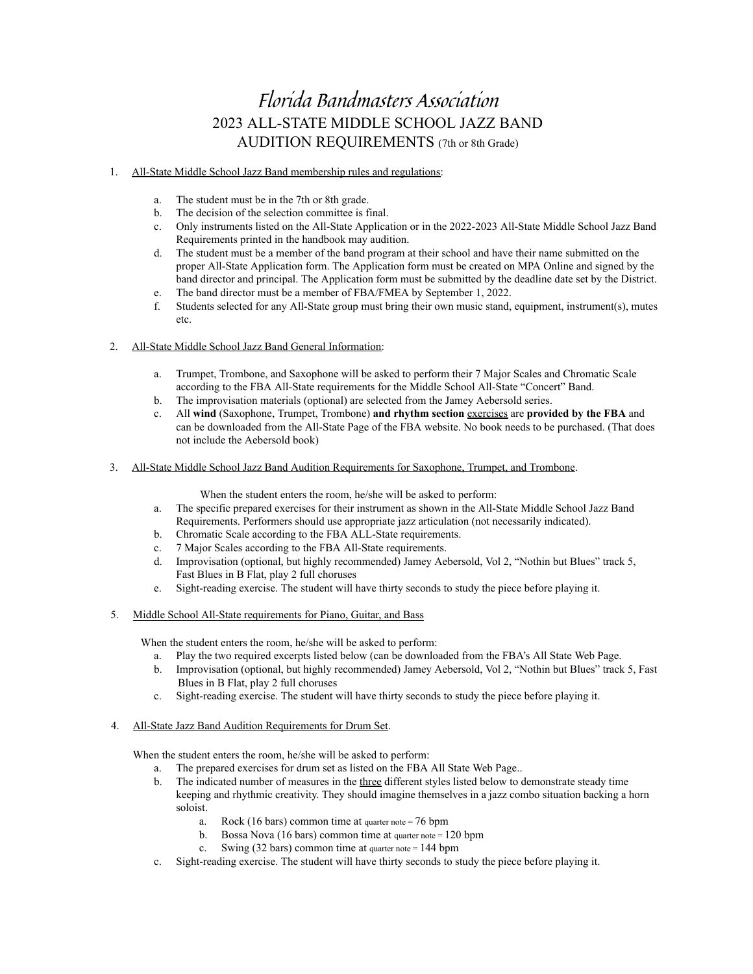## Florida Bandmasters Association 2023 ALL-STATE MIDDLE SCHOOL JAZZ BAND AUDITION REQUIREMENTS (7th or 8th Grade)

## 1. All-State Middle School Jazz Band membership rules and regulations:

- a. The student must be in the 7th or 8th grade.
- b. The decision of the selection committee is final.<br>
c. Only instruments listed on the All-State Annlica
- c. Only instruments listed on the All-State Application or in the 2022-2023 All-State Middle School Jazz Band Requirements printed in the handbook may audition.
- d. The student must be a member of the band program at their school and have their name submitted on the proper All-State Application form. The Application form must be created on MPA Online and signed by the band director and principal. The Application form must be submitted by the deadline date set by the District.
- e. The band director must be a member of FBA/FMEA by September 1, 2022.
- f. Students selected for any All-State group must bring their own music stand, equipment, instrument(s), mutes etc.

## 2. All-State Middle School Jazz Band General Information:

- a. Trumpet, Trombone, and Saxophone will be asked to perform their 7 Major Scales and Chromatic Scale according to the FBA All-State requirements for the Middle School All-State "Concert" Band.
- b. The improvisation materials (optional) are selected from the Jamey Aebersold series.
- c. All **wind** (Saxophone, Trumpet, Trombone) **and rhythm section** exercises are **provided by the FBA** and can be downloaded from the All-State Page of the FBA website. No book needs to be purchased. (That does not include the Aebersold book)
- 3. All-State Middle School Jazz Band Audition Requirements for Saxophone, Trumpet, and Trombone.

When the student enters the room, he/she will be asked to perform:

- a. The specific prepared exercises for their instrument as shown in the All-State Middle School Jazz Band Requirements. Performers should use appropriate jazz articulation (not necessarily indicated).
- b. Chromatic Scale according to the FBA ALL-State requirements.
- c. 7 Major Scales according to the FBA All-State requirements.
- d. Improvisation (optional, but highly recommended) Jamey Aebersold, Vol 2, "Nothin but Blues" track 5, Fast Blues in B Flat, play 2 full choruses
- e. Sight-reading exercise. The student will have thirty seconds to study the piece before playing it.
- 5. Middle School All-State requirements for Piano, Guitar, and Bass

When the student enters the room, he/she will be asked to perform:

- a. Play the two required excerpts listed below (can be downloaded from the FBA's All State Web Page.
- b. Improvisation (optional, but highly recommended) Jamey Aebersold, Vol 2, "Nothin but Blues" track 5, Fast Blues in B Flat, play 2 full choruses
- c. Sight-reading exercise. The student will have thirty seconds to study the piece before playing it.
- 4. All-State Jazz Band Audition Requirements for Drum Set.

When the student enters the room, he/she will be asked to perform:

- a. The prepared exercises for drum set as listed on the FBA All State Web Page..
- b. The indicated number of measures in the three different styles listed below to demonstrate steady time keeping and rhythmic creativity. They should imagine themselves in a jazz combo situation backing a horn soloist.
	- a. Rock (16 bars) common time at quarter note = 76 bpm
	- b. Bossa Nova (16 bars) common time at quarter note  $= 120$  bpm
	- c. Swing (32 bars) common time at quarter note = 144 bpm
- c. Sight-reading exercise. The student will have thirty seconds to study the piece before playing it.